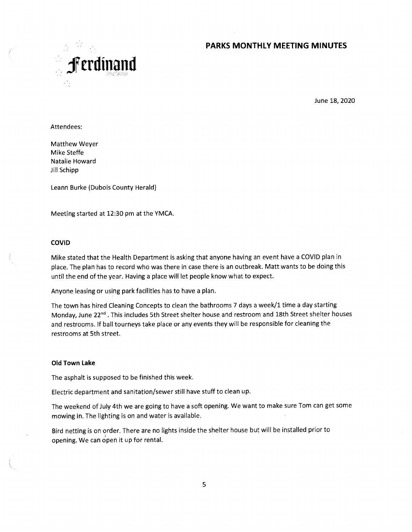## **PARKS MONTHLY MEETING MINUTES**



June 18, 2020

Attendees:

Matthew Weyer Mike Steffe Natalie Howard Jill Schipp

Leann Burke (Dubois County Herald)

Meeting started at 12:30 pm at the YMCA.

#### **COVID**

Mike stated that the Health Department is asking that anyone having an event have a COVID plan in place. The plan has to record who was there in case there is an outbreak. Matt wants to be doing this until the end of the year. Having a place will let people know what to expect.

Anyone leasing or using park facilities has to have a plan.

The town has hired Cleaning Concepts to clean the bathrooms 7 days a week/1 time a day starting Monday, June 22<sup>nd</sup>. This includes 5th Street shelter house and restroom and 18th Street shelter houses and restrooms. if ball tourneys take place or any events they will be responsible for cleaning the restrooms at 5th street.

### **Old Town Lake**

The asphalt is supposed to be finished this week.

Electric department and sanitation/sewer still have stuff to clean up.

The weekend of July 4th we are going to have a soft opening. We want to make sure Tom can get some mowing in. The lighting is on and water is available.

Bird netting is on order. There are no lights inside the shelter house but will be installed prior to opening. We can open it up for rental.